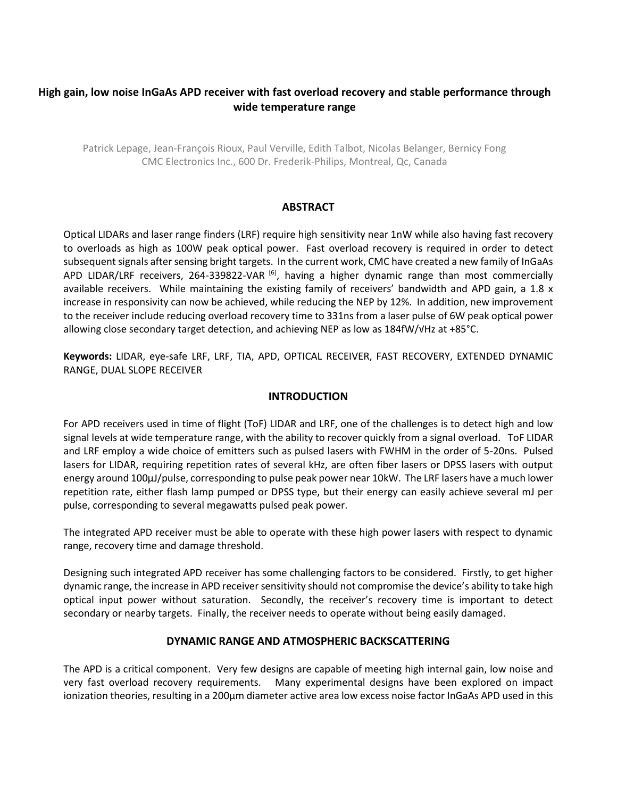# **High gain, low noise InGaAs APD receiver with fast overload recovery and stable performance through wide temperature range**

Patrick Lepage, Jean-François Rioux, Paul Verville, Edith Talbot, Nicolas Belanger, Bernicy Fong CMC Electronics Inc., 600 Dr. Frederik-Philips, Montreal, Qc, Canada

## **ABSTRACT**

Optical LIDARs and laser range finders (LRF) require high sensitivity near 1nW while also having fast recovery to overloads as high as 100W peak optical power. Fast overload recovery is required in order to detect subsequent signals after sensing bright targets. In the current work, CMC have created a new family of InGaAs APD LIDAR/LRF receivers, 264-339822-VAR<sup>[6]</sup>, having a higher dynamic range than most commercially available receivers. While maintaining the existing family of receivers' bandwidth and APD gain, a 1.8 x increase in responsivity can now be achieved, while reducing the NEP by 12%. In addition, new improvement to the receiver include reducing overload recovery time to 331ns from a laser pulse of 6W peak optical power allowing close secondary target detection, and achieving NEP as low as 184fW/√Hz at +85°C.

**Keywords:** LIDAR, eye-safe LRF, LRF, TIA, APD, OPTICAL RECEIVER, FAST RECOVERY, EXTENDED DYNAMIC RANGE, DUAL SLOPE RECEIVER

#### **INTRODUCTION**

For APD receivers used in time of flight (ToF) LIDAR and LRF, one of the challenges is to detect high and low signal levels at wide temperature range, with the ability to recover quickly from a signal overload. ToF LIDAR and LRF employ a wide choice of emitters such as pulsed lasers with FWHM in the order of 5-20ns. Pulsed lasers for LIDAR, requiring repetition rates of several kHz, are often fiber lasers or DPSS lasers with output energy around 100μJ/pulse, corresponding to pulse peak power near 10kW. The LRF lasers have a much lower repetition rate, either flash lamp pumped or DPSS type, but their energy can easily achieve several mJ per pulse, corresponding to several megawatts pulsed peak power.

The integrated APD receiver must be able to operate with these high power lasers with respect to dynamic range, recovery time and damage threshold.

Designing such integrated APD receiver has some challenging factors to be considered. Firstly, to get higher dynamic range, the increase in APD receiver sensitivity should not compromise the device's ability to take high optical input power without saturation. Secondly, the receiver's recovery time is important to detect secondary or nearby targets. Finally, the receiver needs to operate without being easily damaged.

#### **DYNAMIC RANGE AND ATMOSPHERIC BACKSCATTERING**

The APD is a critical component. Very few designs are capable of meeting high internal gain, low noise and very fast overload recovery requirements. Many experimental designs have been explored on impact ionization theories, resulting in a 200μm diameter active area low excess noise factor InGaAs APD used in this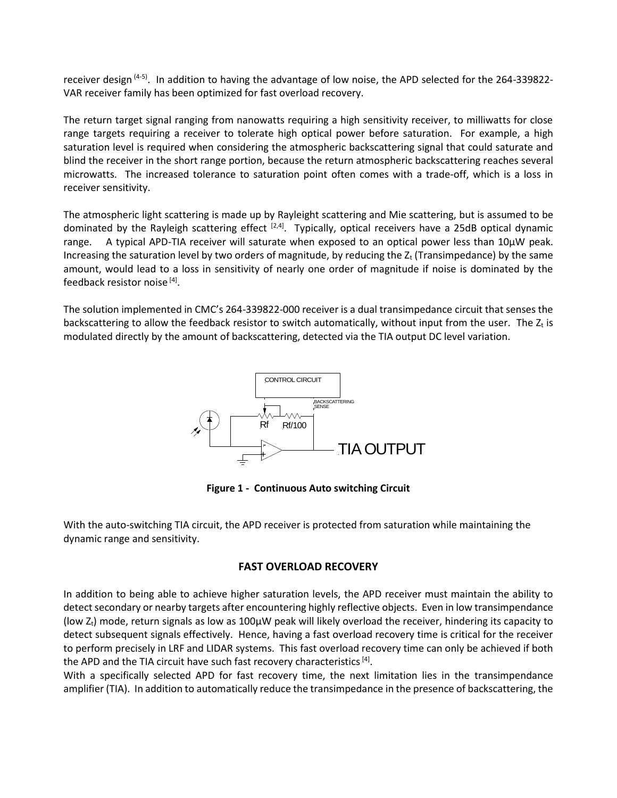receiver design  $(4-5)$ . In addition to having the advantage of low noise, the APD selected for the 264-339822-VAR receiver family has been optimized for fast overload recovery.

The return target signal ranging from nanowatts requiring a high sensitivity receiver, to milliwatts for close range targets requiring a receiver to tolerate high optical power before saturation. For example, a high saturation level is required when considering the atmospheric backscattering signal that could saturate and blind the receiver in the short range portion, because the return atmospheric backscattering reaches several microwatts. The increased tolerance to saturation point often comes with a trade-off, which is a loss in receiver sensitivity.

The atmospheric light scattering is made up by Rayleight scattering and Mie scattering, but is assumed to be dominated by the Rayleigh scattering effect <sup>[2,4]</sup>. Typically, optical receivers have a 25dB optical dynamic range. A typical APD-TIA receiver will saturate when exposed to an optical power less than 10µW peak. Increasing the saturation level by two orders of magnitude, by reducing the  $Z_t$  (Transimpedance) by the same amount, would lead to a loss in sensitivity of nearly one order of magnitude if noise is dominated by the feedback resistor noise <a>[4]</a>.

The solution implemented in CMC's 264-339822-000 receiver is a dual transimpedance circuit that senses the backscattering to allow the feedback resistor to switch automatically, without input from the user. The  $Z_t$  is modulated directly by the amount of backscattering, detected via the TIA output DC level variation.



**Figure 1 - Continuous Auto switching Circuit**

With the auto-switching TIA circuit, the APD receiver is protected from saturation while maintaining the dynamic range and sensitivity.

## **FAST OVERLOAD RECOVERY**

In addition to being able to achieve higher saturation levels, the APD receiver must maintain the ability to detect secondary or nearby targets after encountering highly reflective objects. Even in low transimpendance (low  $Z_t$ ) mode, return signals as low as 100µW peak will likely overload the receiver, hindering its capacity to detect subsequent signals effectively. Hence, having a fast overload recovery time is critical for the receiver to perform precisely in LRF and LIDAR systems. This fast overload recovery time can only be achieved if both the APD and the TIA circuit have such fast recovery characteristics <sup>[4]</sup>.

With a specifically selected APD for fast recovery time, the next limitation lies in the transimpendance amplifier (TIA). In addition to automatically reduce the transimpedance in the presence of backscattering, the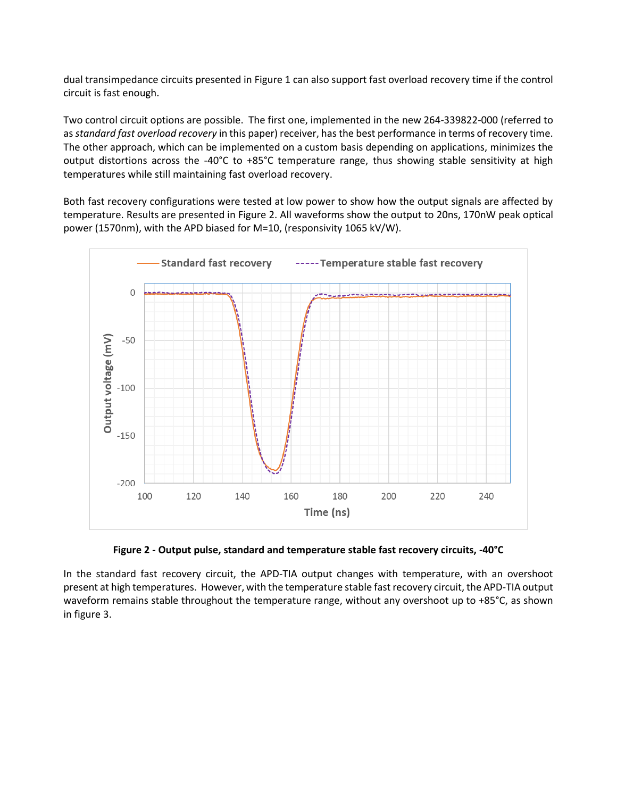dual transimpedance circuits presented in Figure 1 can also support fast overload recovery time if the control circuit is fast enough.

Two control circuit options are possible. The first one, implemented in the new 264-339822-000 (referred to as *standard fast overload recovery* in this paper) receiver, has the best performance in terms of recovery time. The other approach, which can be implemented on a custom basis depending on applications, minimizes the output distortions across the -40°C to +85°C temperature range, thus showing stable sensitivity at high temperatures while still maintaining fast overload recovery.

Both fast recovery configurations were tested at low power to show how the output signals are affected by temperature. Results are presented in Figure 2. All waveforms show the output to 20ns, 170nW peak optical power (1570nm), with the APD biased for M=10, (responsivity 1065 kV/W).



**Figure 2 - Output pulse, standard and temperature stable fast recovery circuits, -40°C**

In the standard fast recovery circuit, the APD-TIA output changes with temperature, with an overshoot present at high temperatures. However, with the temperature stable fast recovery circuit, the APD-TIA output waveform remains stable throughout the temperature range, without any overshoot up to +85°C, as shown in figure 3.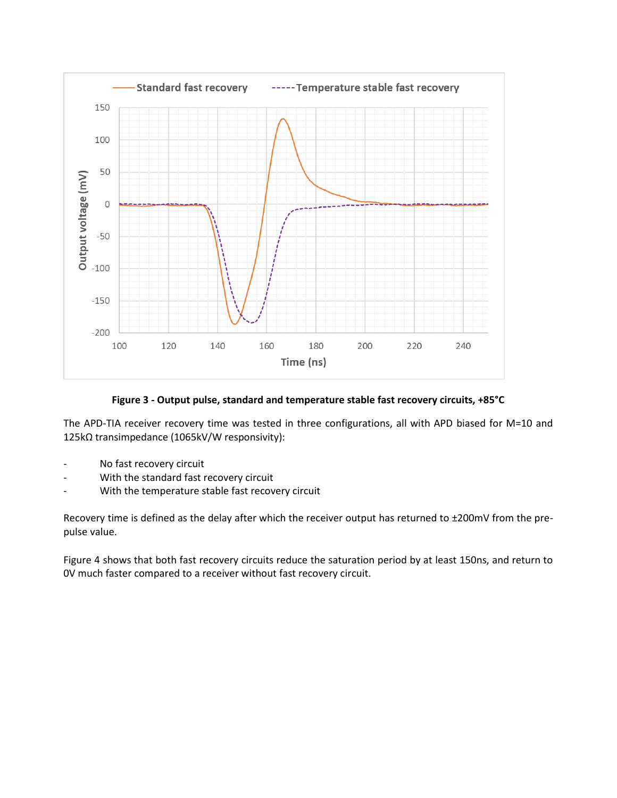

**Figure 3 - Output pulse, standard and temperature stable fast recovery circuits, +85°C**

The APD-TIA receiver recovery time was tested in three configurations, all with APD biased for M=10 and 125kΩ transimpedance (1065kV/W responsivity):

- No fast recovery circuit
- With the standard fast recovery circuit
- With the temperature stable fast recovery circuit

Recovery time is defined as the delay after which the receiver output has returned to ±200mV from the prepulse value.

Figure 4 shows that both fast recovery circuits reduce the saturation period by at least 150ns, and return to 0V much faster compared to a receiver without fast recovery circuit.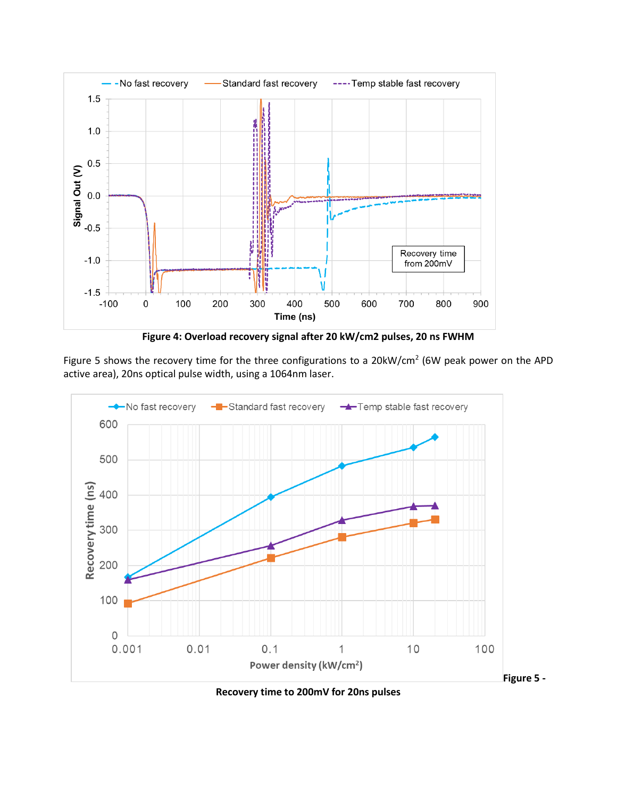

**Figure 4: Overload recovery signal after 20 kW/cm2 pulses, 20 ns FWHM**

Figure 5 shows the recovery time for the three configurations to a 20 $kW/cm^2$  (6W peak power on the APD active area), 20ns optical pulse width, using a 1064nm laser.



**Recovery time to 200mV for 20ns pulses**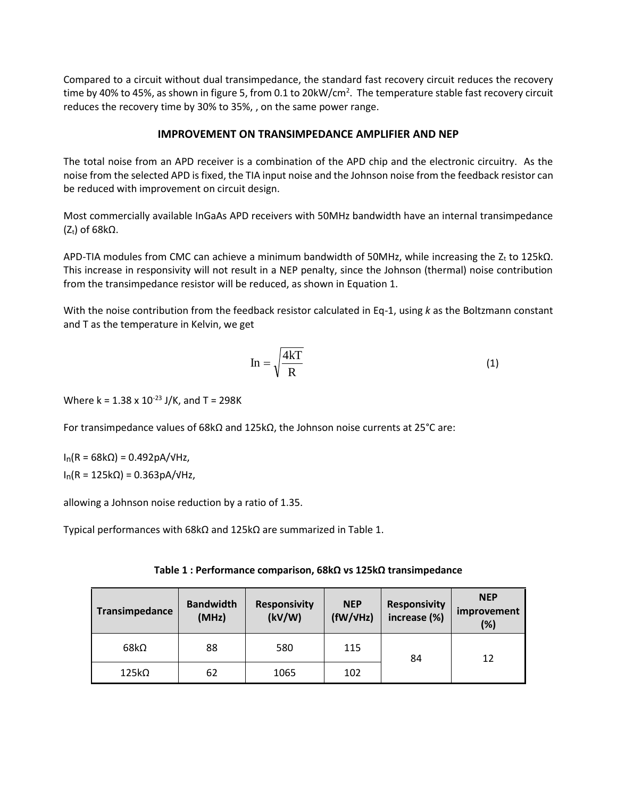Compared to a circuit without dual transimpedance, the standard fast recovery circuit reduces the recovery time by 40% to 45%, as shown in figure 5, from 0.1 to 20kW/cm<sup>2</sup>. The temperature stable fast recovery circuit reduces the recovery time by 30% to 35%, , on the same power range.

# **IMPROVEMENT ON TRANSIMPEDANCE AMPLIFIER AND NEP**

The total noise from an APD receiver is a combination of the APD chip and the electronic circuitry. As the noise from the selected APD is fixed, the TIA input noise and the Johnson noise from the feedback resistor can be reduced with improvement on circuit design.

Most commercially available InGaAs APD receivers with 50MHz bandwidth have an internal transimpedance ( $Z_t$ ) of 68k $\Omega$ .

APD-TIA modules from CMC can achieve a minimum bandwidth of 50MHz, while increasing the Z<sub>t</sub> to 125kΩ. This increase in responsivity will not result in a NEP penalty, since the Johnson (thermal) noise contribution from the transimpedance resistor will be reduced, as shown in Equation 1.

With the noise contribution from the feedback resistor calculated in Eq-1, using *k* as the Boltzmann constant and T as the temperature in Kelvin, we get

$$
In = \sqrt{\frac{4k}{R}}
$$
 (1)

Where k =  $1.38 \times 10^{-23}$  J/K, and T = 298K

For transimpedance values of 68kΩ and 125kΩ, the Johnson noise currents at 25°C are:

 $I_n(R = 68kΩ) = 0.492pA/VHz,$  $I_n(R = 125kΩ) = 0.363pA/VHz,$ 

allowing a Johnson noise reduction by a ratio of 1.35.

Typical performances with 68kΩ and 125kΩ are summarized in Table 1.

| Table 1 : Performance comparison, 68k $\Omega$ vs 125k $\Omega$ transimpedance |  |  |
|--------------------------------------------------------------------------------|--|--|
|--------------------------------------------------------------------------------|--|--|

| Transimpedance | <b>Bandwidth</b><br>(MHz) | <b>Responsivity</b><br>(kV/W) | <b>NEP</b><br>(fW/VHz) | <b>Responsivity</b><br>increase (%) | <b>NEP</b><br>improvement<br>(%) |
|----------------|---------------------------|-------------------------------|------------------------|-------------------------------------|----------------------------------|
| $68k\Omega$    | 88                        | 580                           | 115                    | 84                                  | 12                               |
| $125k\Omega$   | 62                        | 1065                          | 102                    |                                     |                                  |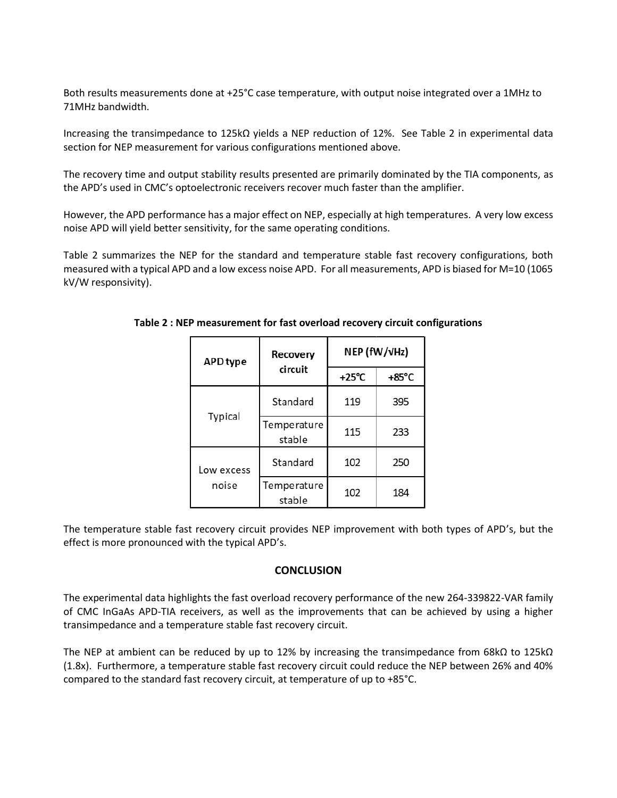Both results measurements done at +25°C case temperature, with output noise integrated over a 1MHz to 71MHz bandwidth.

Increasing the transimpedance to 125kΩ yields a NEP reduction of 12%. See Table 2 in experimental data section for NEP measurement for various configurations mentioned above.

The recovery time and output stability results presented are primarily dominated by the TIA components, as the APD's used in CMC's optoelectronic receivers recover much faster than the amplifier.

However, the APD performance has a major effect on NEP, especially at high temperatures. A very low excess noise APD will yield better sensitivity, for the same operating conditions.

Table 2 summarizes the NEP for the standard and temperature stable fast recovery configurations, both measured with a typical APD and a low excess noise APD. For all measurements, APD is biased for M=10 (1065 kV/W responsivity).

| <b>APD</b> type     | Recovery              | NEP (fW/vHz)    |                 |  |
|---------------------|-----------------------|-----------------|-----------------|--|
| circuit             |                       | $+25^{\circ}$ C | $+85^{\circ}$ C |  |
| Typical             | Standard              | 119             | 395             |  |
|                     | Temperature<br>stable | 115             | 233             |  |
| Low excess<br>noise | Standard              | 102             | 250             |  |
|                     | Temperature<br>stable | 102             | 184             |  |

**Table 2 : NEP measurement for fast overload recovery circuit configurations**

The temperature stable fast recovery circuit provides NEP improvement with both types of APD's, but the effect is more pronounced with the typical APD's.

# **CONCLUSION**

The experimental data highlights the fast overload recovery performance of the new 264-339822-VAR family of CMC InGaAs APD-TIA receivers, as well as the improvements that can be achieved by using a higher transimpedance and a temperature stable fast recovery circuit.

The NEP at ambient can be reduced by up to 12% by increasing the transimpedance from 68kΩ to 125kΩ (1.8x). Furthermore, a temperature stable fast recovery circuit could reduce the NEP between 26% and 40% compared to the standard fast recovery circuit, at temperature of up to +85°C.